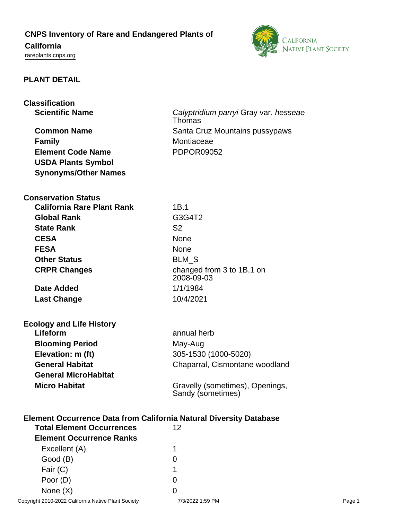# **CNPS Inventory of Rare and Endangered Plants of**

# **California**

<rareplants.cnps.org>



### **PLANT DETAIL**

| <b>Classification</b>                                                     |                                                      |
|---------------------------------------------------------------------------|------------------------------------------------------|
| <b>Scientific Name</b>                                                    | Calyptridium parryi Gray var. hesseae<br>Thomas      |
| <b>Common Name</b>                                                        | Santa Cruz Mountains pussypaws                       |
| <b>Family</b>                                                             | Montiaceae                                           |
| <b>Element Code Name</b>                                                  | <b>PDPOR09052</b>                                    |
| <b>USDA Plants Symbol</b>                                                 |                                                      |
| <b>Synonyms/Other Names</b>                                               |                                                      |
| <b>Conservation Status</b>                                                |                                                      |
| <b>California Rare Plant Rank</b>                                         | 1B.1                                                 |
| <b>Global Rank</b>                                                        | G3G4T2                                               |
| <b>State Rank</b>                                                         | S <sub>2</sub>                                       |
| <b>CESA</b>                                                               | <b>None</b>                                          |
| <b>FESA</b>                                                               | <b>None</b>                                          |
| <b>Other Status</b>                                                       | <b>BLM S</b>                                         |
| <b>CRPR Changes</b>                                                       | changed from 3 to 1B.1 on<br>2008-09-03              |
| <b>Date Added</b>                                                         | 1/1/1984                                             |
| <b>Last Change</b>                                                        | 10/4/2021                                            |
| <b>Ecology and Life History</b>                                           |                                                      |
| Lifeform                                                                  | annual herb                                          |
| <b>Blooming Period</b>                                                    | May-Aug                                              |
| Elevation: m (ft)                                                         | 305-1530 (1000-5020)                                 |
| <b>General Habitat</b>                                                    | Chaparral, Cismontane woodland                       |
| <b>General MicroHabitat</b>                                               |                                                      |
| <b>Micro Habitat</b>                                                      | Gravelly (sometimes), Openings,<br>Sandy (sometimes) |
| <b>Element Occurrence Data from California Natural Diversity Database</b> |                                                      |
| <b>Total Element Occurrences</b>                                          | 12                                                   |
| <b>Element Occurrence Ranks</b>                                           |                                                      |
| Excellent (A)                                                             | 1                                                    |
| Good (B)                                                                  | 0                                                    |

Fair (C) 1 Poor (D) 0